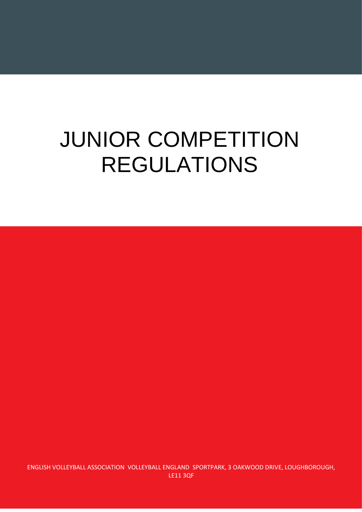# JUNIOR COMPETITION REGULATIONS

ENGLISH VOLLEYBALL ASSOCIATION VOLLEYBALL ENGLAND SPORTPARK, 3 OAKWOOD DRIVE, LOUGHBOROUGH, LE11 3QF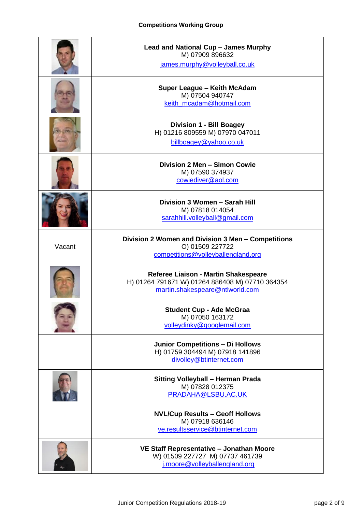### **Competitions Working Group**

<span id="page-1-0"></span>

|        | Lead and National Cup - James Murphy<br>M) 07909 896632<br>james.murphy@volleyball.co.uk                                   |
|--------|----------------------------------------------------------------------------------------------------------------------------|
|        | Super League - Keith McAdam<br>M) 07504 940747<br>keith_mcadam@hotmail.com                                                 |
|        | <b>Division 1 - Bill Boagey</b><br>H) 01216 809559 M) 07970 047011<br>billboagey@yahoo.co.uk                               |
|        | Division 2 Men - Simon Cowie<br>M) 07590 374937<br>cowiediver@aol.com                                                      |
|        | Division 3 Women - Sarah Hill<br>M) 07818 014054<br>sarahhill.volleyball@gmail.com                                         |
| Vacant | Division 2 Women and Division 3 Men - Competitions<br>O) 01509 227722<br>competitions@volleyballengland.org                |
|        | Referee Liaison - Martin Shakespeare<br>H) 01264 791671 W) 01264 886408 M) 07710 364354<br>martin.shakespeare@ntlworld.com |
|        | <b>Student Cup - Ade McGraa</b><br>M) 07050 163172<br>volleydinky@googlemail.com                                           |
|        | <b>Junior Competitions - Di Hollows</b><br>H) 01759 304494 M) 07918 141896<br>divolley@btinternet.com                      |
|        | Sitting Volleyball - Herman Prada<br>M) 07828 012375<br>PRADAHA@LSBU.AC.UK                                                 |
|        | <b>NVL/Cup Results - Geoff Hollows</b><br>M) 07918 636146<br>ve.resultsservice@btinternet.com                              |
|        | VE Staff Representative - Jonathan Moore<br>W) 01509 227727 M) 07737 461739<br>j.moore@volleyballengland.org               |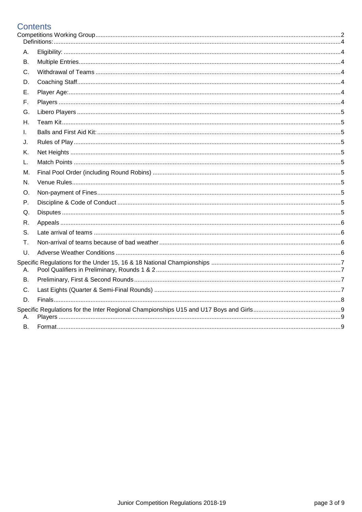## **Contents**<br>Competitions

| А.        |  |
|-----------|--|
| В.        |  |
| C.        |  |
| D.        |  |
| Е.        |  |
| F.        |  |
| G.        |  |
| Η.        |  |
| I.        |  |
| J.        |  |
| K.        |  |
| L.        |  |
| М.        |  |
| N.        |  |
| O.        |  |
| Ρ.        |  |
| Q.        |  |
| R.        |  |
| S.        |  |
| Τ.        |  |
| U.        |  |
| А.        |  |
| <b>B.</b> |  |
| C.        |  |
| D.        |  |
| А.        |  |
| В.        |  |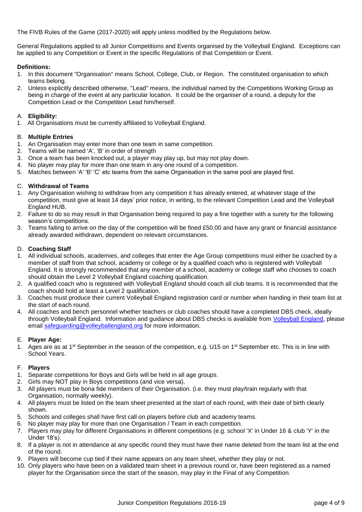The FIVB Rules of the Game (2017-2020) will apply unless modified by the Regulations below.

General Regulations applied to all Junior Competitions and Events organised by the Volleyball England. Exceptions can be applied to any Competition or Event in the specific Regulations of that Competition or Event.

#### <span id="page-3-0"></span>**Definitions:**

- 1. In this document "Organisation" means School, College, Club, or Region. The constituted organisation to which teams belong.
- 2. Unless explicitly described otherwise, "Lead" means, the individual named by the Competitions Working Group as being in charge of the event at any particular location. It could be the organiser of a round, a deputy for the Competition Lead or the Competition Lead him/herself.

#### <span id="page-3-1"></span>A. **Eligibility:**

1. All Organisations must be currently affiliated to Volleyball England.

#### <span id="page-3-2"></span>B. **Multiple Entries**

- 1. An Organisation may enter more than one team in same competition.
- 2. Teams will be named 'A', 'B' in order of strength
- 3. Once a team has been knocked out, a player may play up, but may not play down.
- 4. No player may play for more than one team in any one round of a competition.
- 5. Matches between 'A' 'B' 'C' etc teams from the same Organisation in the same pool are played first.

#### <span id="page-3-3"></span>C. **Withdrawal of Teams**

- 1. Any Organisation wishing to withdraw from any competition it has already entered, at whatever stage of the competition, must give at least 14 days' prior notice, in writing, to the relevant Competition Lead and the Volleyball England HUB.
- 2. Failure to do so may result in that Organisation being required to pay a fine together with a surety for the following season's competitions.
- 3. Teams failing to arrive on the day of the competition will be fined £50.00 and have any grant or financial assistance already awarded withdrawn, dependent on relevant circumstances.

#### <span id="page-3-4"></span>D. **Coaching Staff**

- 1. All individual schools, academies, and colleges that enter the Age Group competitions must either be coached by a member of staff from that school, academy or college or by a qualified coach who is registered with Volleyball England. It is strongly recommended that any member of a school, academy or college staff who chooses to coach should obtain the Level 2 Volleyball England coaching qualification.
- 2. A qualified coach who is registered with Volleyball England should coach all club teams. It is recommended that the coach should hold at least a Level 2 qualification.
- 3. Coaches must produce their current Volleyball England registration card or number when handing in their team list at the start of each round.
- 4. All coaches and bench personnel whether teachers or club coaches should have a completed DBS check, ideally through Volleyball England. Information and guidance about DBS checks is available from [Volleyball England,](http://volleyballengland.org/about_us/safeguarding__club_welfare) please email [safeguarding@volleyballengland.org](mailto:safeguarding@volleyballengland.org) for more information.

#### <span id="page-3-5"></span>E. **Player Age:**

1. Ages are as at  $1^{st}$  September in the season of the competition, e.g. U15 on  $1^{st}$  September etc. This is in line with School Years.

#### <span id="page-3-6"></span>F. **Players**

- 1. Separate competitions for Boys and Girls will be held in all age groups.
- 2. Girls may NOT play in Boys competitions (and vice versa).
- 3. All players must be bona fide members of their Organisation. (i.e. they must play/train regularly with that Organisation, normally weekly).
- 4. All players must be listed on the team sheet presented at the start of each round, with their date of birth clearly shown.
- 5. Schools and colleges shall have first call on players before club and academy teams.
- 6. No player may play for more than one Organisation / Team in each competition.
- 7. Players may play for different Organisations in different competitions (e.g. school 'X' in Under 16 & club 'Y' in the Under 18's).
- 8. If a player is not in attendance at any specific round they must have their name deleted from the team list at the end of the round.
- 9. Players will become cup tied if their name appears on any team sheet, whether they play or not.
- 10. Only players who have been on a validated team sheet in a previous round or, have been registered as a named player for the Organisation since the start of the season, may play in the Final of any Competition.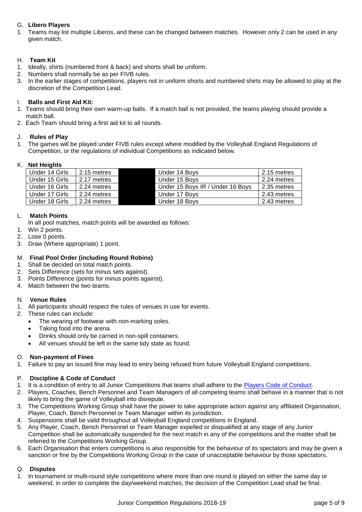#### <span id="page-4-0"></span>G. **Libero Players**

1. Teams may list multiple Liberos, and these can be changed between matches. However only 2 can be used in any given match.

#### <span id="page-4-1"></span>H. **Team Kit**

- 1. Ideally, shirts (numbered front & back) and shorts shall be uniform.
- 2. Numbers shall normally be as per FIVB rules.
- 3. In the earlier stages of competitions, players not in uniform shorts and numbered shirts may be allowed to play at the discretion of the Competition Lead.

#### <span id="page-4-2"></span>I. **Balls and First Aid Kit:**

- 1. Teams should bring their own warm-up balls. If a match ball is not provided, the teams playing should provide a match ball.
- 2. Each Team should bring a first aid kit to all rounds.

#### <span id="page-4-3"></span>J. **Rules of Play**

1. The games will be played under FIVB rules except where modified by the Volleyball England Regulations of Competition, or the regulations of individual Competitions as indicated below.

#### <span id="page-4-4"></span>K. **Net Heights**

| Under 14 Girls | 2.15 metres | Under 14 Boys                    | 2.15 metres |
|----------------|-------------|----------------------------------|-------------|
| Under 15 Girls | 2.17 metres | Under 15 Boys                    | 2.24 metres |
| Under 16 Girls | 2.24 metres | Under 15 Boys IR / Under 16 Boys | 2.35 metres |
| Under 17 Girls | 2.24 metres | Under 17 Boys                    | 2.43 metres |
| Under 18 Girls | 2.24 metres | Under 18 Boys                    | 2.43 metres |

#### <span id="page-4-5"></span>L. **Match Points**

- In all pool matches, match points will be awarded as follows:
- 1. Win 2 points.
- 2. Lose 0 points.
- 3. Draw (Where appropriate) 1 point.

#### <span id="page-4-6"></span>M. **Final Pool Order (including Round Robins)**

- 1. Shall be decided on total match points.
- 2. Sets Difference (sets for minus sets against).
- 3. Points Difference (points for minus points against).
- 4. Match between the two teams.

#### <span id="page-4-7"></span>N. **Venue Rules**

- 1. All participants should respect the rules of venues in use for events.
- 2. These rules can include:
	- The wearing of footwear with non-marking soles.
	- Taking food into the arena.
	- Drinks should only be carried in non-spill containers.
	- All venues should be left in the same tidy state as found.

#### <span id="page-4-8"></span>O. **Non-payment of Fines**

1. Failure to pay an issued fine may lead to entry being refused from future Volleyball England competitions.

#### <span id="page-4-9"></span>P. **Discipline & Code of Conduct**

- 1. It is a condition of entry to all Junior Competitions that teams shall adhere to the Players [Code of Conduct.](http://volleyballengland.org/~media/docs/Volleyball%20England%20Code%20of%20Conduct.pdf)
- 2. Players, Coaches, Bench Personnel and Team Managers of all competing teams shall behave in a manner that is not likely to bring the game of Volleyball into disrepute.
- 3. The Competitions Working Group shall have the power to take appropriate action against any affiliated Organisation, Player, Coach, Bench Personnel or Team Manager within its jurisdiction.
- 4. Suspensions shall be valid throughout all Volleyball England competitions in England.
- 5. Any Player, Coach, Bench Personnel or Team Manager expelled or disqualified at any stage of any Junior Competition shall be automatically suspended for the next match in any of the competitions and the matter shall be referred to the Competitions Working Group.
- 6. Each Organisation that enters competitions is also responsible for the behaviour of its spectators and may be given a sanction or fine by the Competitions Working Group in the case of unacceptable behaviour by those spectators.

#### <span id="page-4-10"></span>Q. **Disputes**

1. In tournament or multi-round style competitions where more than one round is played on either the same day or weekend, in order to complete the day/weekend matches, the decision of the Competition Lead shall be final.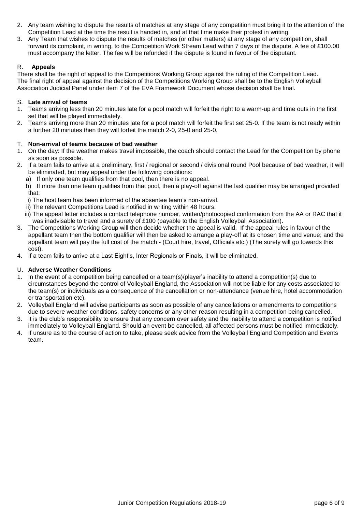- 2. Any team wishing to dispute the results of matches at any stage of any competition must bring it to the attention of the Competition Lead at the time the result is handed in, and at that time make their protest in writing.
- 3. Any Team that wishes to dispute the results of matches (or other matters) at any stage of any competition, shall forward its complaint, in writing, to the Competition Work Stream Lead within 7 days of the dispute. A fee of £100.00 must accompany the letter. The fee will be refunded if the dispute is found in favour of the disputant.

#### <span id="page-5-0"></span>R. **Appeals**

There shall be the right of appeal to the Competitions Working Group against the ruling of the Competition Lead. The final right of appeal against the decision of the Competitions Working Group shall be to the English Volleyball Association Judicial Panel under item 7 of the EVA Framework Document whose decision shall be final.

#### <span id="page-5-1"></span>S. **Late arrival of teams**

- 1. Teams arriving less than 20 minutes late for a pool match will forfeit the right to a warm-up and time outs in the first set that will be played immediately.
- 2. Teams arriving more than 20 minutes late for a pool match will forfeit the first set 25-0. If the team is not ready within a further 20 minutes then they will forfeit the match 2-0, 25-0 and 25-0.

#### <span id="page-5-2"></span>T. **Non-arrival of teams because of bad weather**

- 1. On the day: If the weather makes travel impossible, the coach should contact the Lead for the Competition by phone as soon as possible.
- 2. If a team fails to arrive at a preliminary, first / regional or second / divisional round Pool because of bad weather, it will be eliminated, but may appeal under the following conditions:
	- a) If only one team qualifies from that pool, then there is no appeal.
	- b) If more than one team qualifies from that pool, then a play-off against the last qualifier may be arranged provided that:
	- i) The host team has been informed of the absentee team's non-arrival.
	- ii) The relevant Competitions Lead is notified in writing within 48 hours.
	- iii) The appeal letter includes a contact telephone number, written/photocopied confirmation from the AA or RAC that it was inadvisable to travel and a surety of £100 (payable to the English Volleyball Association).
- 3. The Competitions Working Group will then decide whether the appeal is valid. If the appeal rules in favour of the appellant team then the bottom qualifier will then be asked to arrange a play-off at its chosen time and venue; and the appellant team will pay the full cost of the match - (Court hire, travel, Officials etc.) (The surety will go towards this cost).
- 4. If a team fails to arrive at a Last Eight's, Inter Regionals or Finals, it will be eliminated.

#### <span id="page-5-3"></span>U. **Adverse Weather Conditions**

- 1. In the event of a competition being cancelled or a team(s)/player's inability to attend a competition(s) due to circumstances beyond the control of Volleyball England, the Association will not be liable for any costs associated to the team(s) or individuals as a consequence of the cancellation or non-attendance (venue hire, hotel accommodation or transportation etc).
- 2. Volleyball England will advise participants as soon as possible of any cancellations or amendments to competitions due to severe weather conditions, safety concerns or any other reason resulting in a competition being cancelled.
- 3. It is the club's responsibility to ensure that any concern over safety and the inability to attend a competition is notified immediately to Volleyball England. Should an event be cancelled, all affected persons must be notified immediately.
- 4. If unsure as to the course of action to take, please seek advice from the Volleyball England Competition and Events team.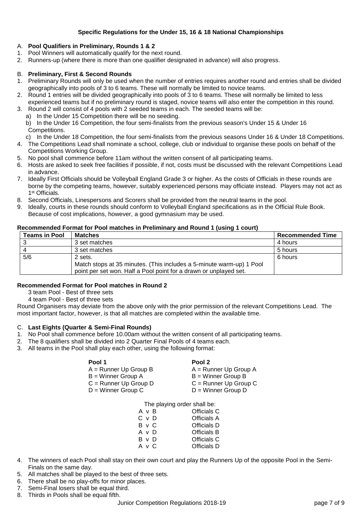#### **Specific Regulations for the Under 15, 16 & 18 National Championships**

#### <span id="page-6-1"></span><span id="page-6-0"></span>A. **Pool Qualifiers in Preliminary, Rounds 1 & 2**

- 1. Pool Winners will automatically qualify for the next round.
- 2. Runners-up (where there is more than one qualifier designated in advance) will also progress.

#### <span id="page-6-2"></span>B. **Preliminary, First & Second Rounds**

- 1. Preliminary Rounds will only be used when the number of entries requires another round and entries shall be divided geographically into pools of 3 to 6 teams. These will normally be limited to novice teams.
- 2. Round 1 entries will be divided geographically into pools of 3 to 6 teams. These will normally be limited to less experienced teams but if no preliminary round is staged, novice teams will also enter the competition in this round.
- 3. Round 2 will consist of 4 pools with 2 seeded teams in each. The seeded teams will be:
	- a) In the Under 15 Competition there will be no seeding.

b) In the Under 16 Competition, the four semi-finalists from the previous season's Under 15 & Under 16 Competitions.

c) In the Under 18 Competition, the four semi-finalists from the previous seasons Under 16 & Under 18 Competitions.

- 4. The Competitions Lead shall nominate a school, college, club or individual to organise these pools on behalf of the Competitions Working Group.
- 5. No pool shall commence before 11am without the written consent of all participating teams.
- 6. Hosts are asked to seek free facilities if possible, if not, costs must be discussed with the relevant Competitions Lead in advance.
- 7. Ideally First Officials should be Volleyball England Grade 3 or higher. As the costs of Officials in these rounds are borne by the competing teams, however, suitably experienced persons may officiate instead. Players may not act as 1 st Officials.
- 8. Second Officials, Linespersons and Scorers shall be provided from the neutral teams in the pool.
- 9. Ideally, courts in these rounds should conform to Volleyball England specifications as in the Official Rule Book. Because of cost implications, however, a good gymnasium may be used.

#### **Recommended Format for Pool matches in Preliminary and Round 1 (using 1 court)**

| <b>Teams in Pool</b> | <b>Matches</b>                                                                                                                            | <b>Recommended Time</b> |
|----------------------|-------------------------------------------------------------------------------------------------------------------------------------------|-------------------------|
|                      | 3 set matches                                                                                                                             | 4 hours                 |
|                      | 3 set matches                                                                                                                             | 5 hours                 |
| 5/6                  | 2 sets.                                                                                                                                   | 6 hours                 |
|                      | Match stops at 35 minutes. (This includes a 5-minute warm-up) 1 Pool<br>point per set won. Half a Pool point for a drawn or unplayed set. |                         |

#### **Recommended Format for Pool matches in Round 2**

3 team Pool - Best of three sets

4 team Pool - Best of three sets

Round Organisers may deviate from the above only with the prior permission of the relevant Competitions Lead. The most important factor, however, is that all matches are completed within the available time.

#### <span id="page-6-3"></span>C. **Last Eights (Quarter & Semi-Final Rounds)**

- 1. No Pool shall commence before 10.00am without the written consent of all participating teams.
- 2. The 8 qualifiers shall be divided into 2 Quarter Final Pools of 4 teams each.
- 3. All teams in the Pool shall play each other, using the following format:

| Pool 1                  | Pool 2                  |
|-------------------------|-------------------------|
| $A =$ Runner Up Group B | $A =$ Runner Up Group A |
| $B =$ Winner Group A    | $B =$ Winner Group B    |
| $C =$ Runner Up Group D | $C =$ Runner Up Group C |
| $D =$ Winner Group C    | $D =$ Winner Group D    |

The playing order shall be:

| AvR   | Officials C |
|-------|-------------|
| C v D | Officials A |
| B v C | Officials D |
| A v D | Officials B |
| BvD   | Officials C |
| A v C | Officials D |

- 4. The winners of each Pool shall stay on their own court and play the Runners Up of the opposite Pool in the Semi-Finals on the same day.
- 5. All matches shall be played to the best of three sets.
- 6. There shall be no play-offs for minor places.
- 7. Semi-Final losers shall be equal third.
- 8. Thirds in Pools shall be equal fifth.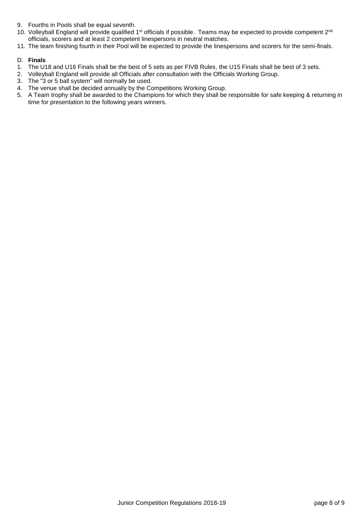- 9. Fourths in Pools shall be equal seventh.
- 10. Volleyball England will provide qualified 1<sup>st</sup> officials if possible. Teams may be expected to provide competent  $2^{nd}$ officials, scorers and at least 2 competent linespersons in neutral matches.
- 11. The team finishing fourth in their Pool will be expected to provide the linespersons and scorers for the semi-finals.

#### <span id="page-7-0"></span>D. **Finals**

- 1. The U18 and U16 Finals shall be the best of 5 sets as per FIVB Rules, the U15 Finals shall be best of 3 sets.
- 2. Volleyball England will provide all Officials after consultation with the Officials Working Group.
- 3. The "3 or 5 ball system" will normally be used.
- 4. The venue shall be decided annually by the Competitions Working Group.
- 5. A Team trophy shall be awarded to the Champions for which they shall be responsible for safe keeping & returning in time for presentation to the following years winners.